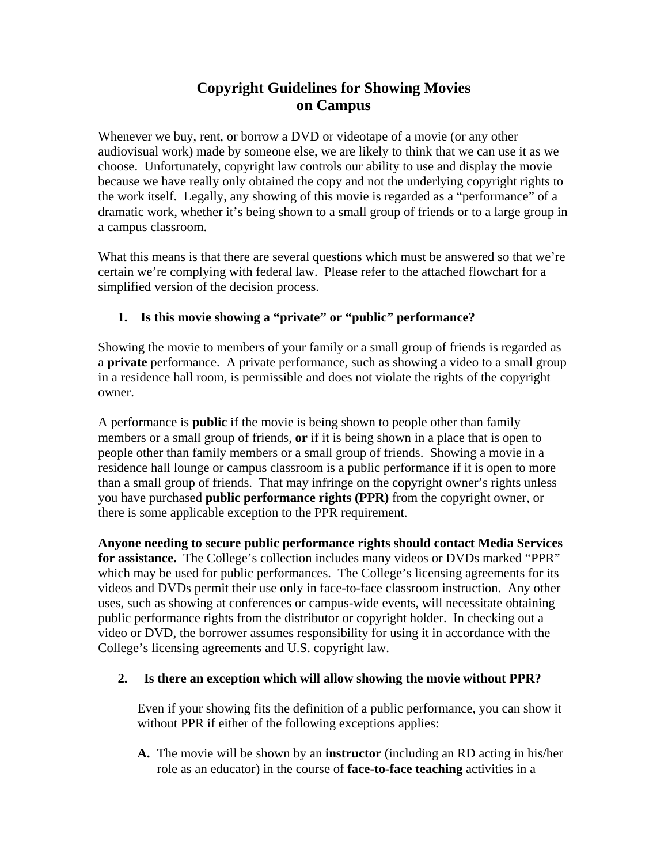## **Copyright Guidelines for Showing Movies on Campus**

Whenever we buy, rent, or borrow a DVD or videotape of a movie (or any other audiovisual work) made by someone else, we are likely to think that we can use it as we choose. Unfortunately, copyright law controls our ability to use and display the movie because we have really only obtained the copy and not the underlying copyright rights to the work itself. Legally, any showing of this movie is regarded as a "performance" of a dramatic work, whether it's being shown to a small group of friends or to a large group in a campus classroom.

What this means is that there are several questions which must be answered so that we're certain we're complying with federal law. Please refer to the attached flowchart for a simplified version of the decision process.

## **1. Is this movie showing a "private" or "public" performance?**

Showing the movie to members of your family or a small group of friends is regarded as a **private** performance. A private performance, such as showing a video to a small group in a residence hall room, is permissible and does not violate the rights of the copyright owner.

A performance is **public** if the movie is being shown to people other than family members or a small group of friends, **or** if it is being shown in a place that is open to people other than family members or a small group of friends. Showing a movie in a residence hall lounge or campus classroom is a public performance if it is open to more than a small group of friends. That may infringe on the copyright owner's rights unless you have purchased **public performance rights (PPR)** from the copyright owner, or there is some applicable exception to the PPR requirement.

**Anyone needing to secure public performance rights should contact Media Services for assistance.** The College's collection includes many videos or DVDs marked "PPR" which may be used for public performances. The College's licensing agreements for its videos and DVDs permit their use only in face-to-face classroom instruction. Any other uses, such as showing at conferences or campus-wide events, will necessitate obtaining public performance rights from the distributor or copyright holder. In checking out a video or DVD, the borrower assumes responsibility for using it in accordance with the College's licensing agreements and U.S. copyright law.

## **2. Is there an exception which will allow showing the movie without PPR?**

Even if your showing fits the definition of a public performance, you can show it without PPR if either of the following exceptions applies:

**A.** The movie will be shown by an **instructor** (including an RD acting in his/her role as an educator) in the course of **face-to-face teaching** activities in a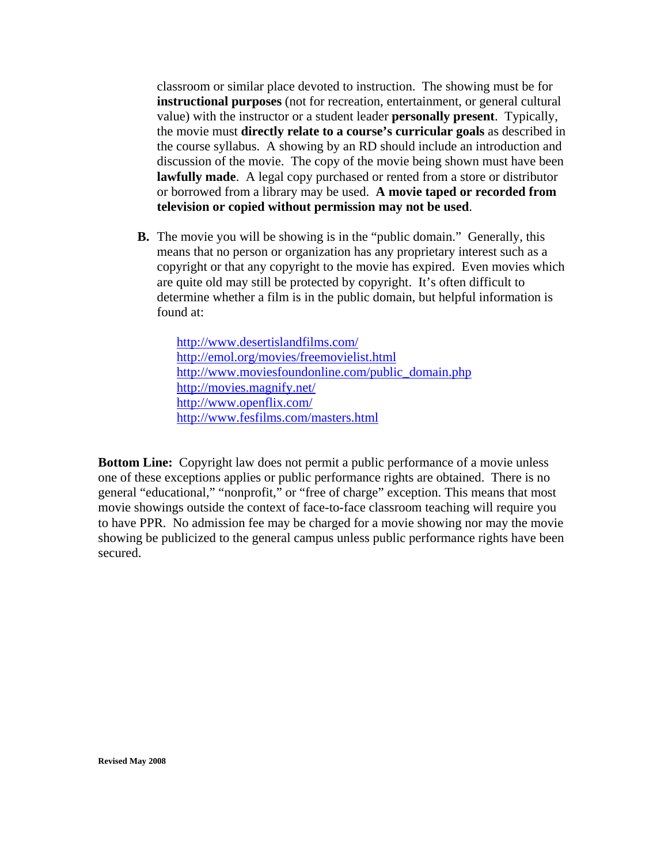classroom or similar place devoted to instruction. The showing must be for discussion of the movie. The copy of the movie being shown must have been **instructional purposes** (not for recreation, entertainment, or general cultural value) with the instructor or a student leader **personally present**. Typically, the movie must **directly relate to a course's curricular goals** as described in the course syllabus. A showing by an RD should include an introduction and **lawfully made**. A legal copy purchased or rented from a store or distributor or borrowed from a library may be used. **A movie taped or recorded from television or copied without permission may not be used**.

**B.** The movie you will be showing is in the "public domain." Generally, this means that no person or organization has any proprietary interest such as a copyright or that any copyright to the movie has expired. Even movies which are quite old may still be protected by copyright. It's often difficult to determine whether a film is in the public domain, but helpful information is found at:

http://www.desertislandfilms.com/ http://emol.org/movies/freemovielist.html http://www.moviesfoundonline.com/public\_domain.php http://movies.magnify.net/ http://www.openflix.com/ http://www.fesfilms.com/masters.html

**Bottom Line:** Copyright law does not permit a public performance of a movie unless one of these exceptions applies or public performance rights are obtained. There is no general "educational," "nonprofit," or "free of charge" exception. This means that most movie showings outside the context of face-to-face classroom teaching will require you to have PPR. No admission fee may be charged for a movie showing nor may the movie showing be publicized to the general campus unless public performance rights have been secured.